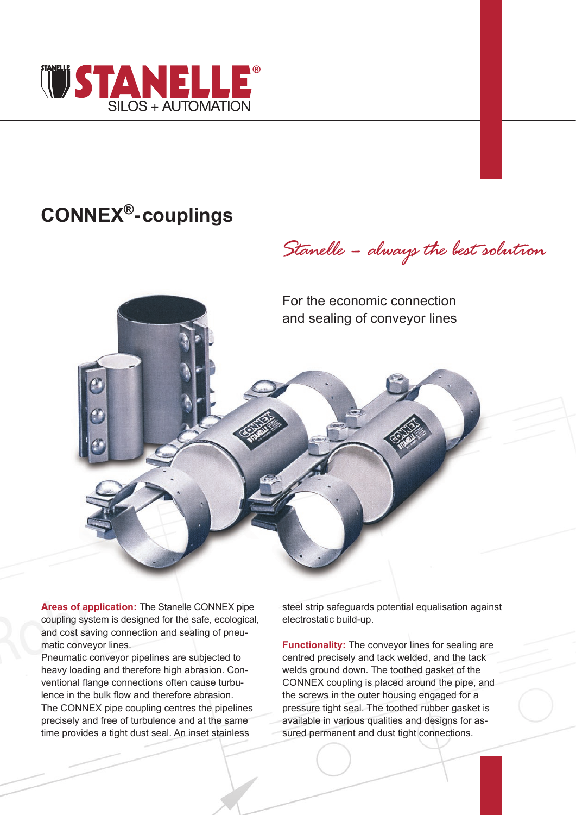

# **CONNEX®-couplings**

*Stanelle – always the best solution*

For the economic connection and sealing of conveyor lines

**Areas of application:** The Stanelle CONNEX pipe coupling system is designed for the safe, ecological, and cost saving connection and sealing of pneumatic conveyor lines.

Pneumatic conveyor pipelines are subjected to heavy loading and therefore high abrasion. Conventional flange connections often cause turbulence in the bulk flow and therefore abrasion. The CONNEX pipe coupling centres the pipelines precisely and free of turbulence and at the same time provides a tight dust seal. An inset stainless

steel strip safeguards potential equalisation against electrostatic build-up.

**Functionality:** The conveyor lines for sealing are centred precisely and tack welded, and the tack welds ground down. The toothed gasket of the CONNEX coupling is placed around the pipe, and the screws in the outer housing engaged for a pressure tight seal. The toothed rubber gasket is available in various qualities and designs for assured permanent and dust tight connections.